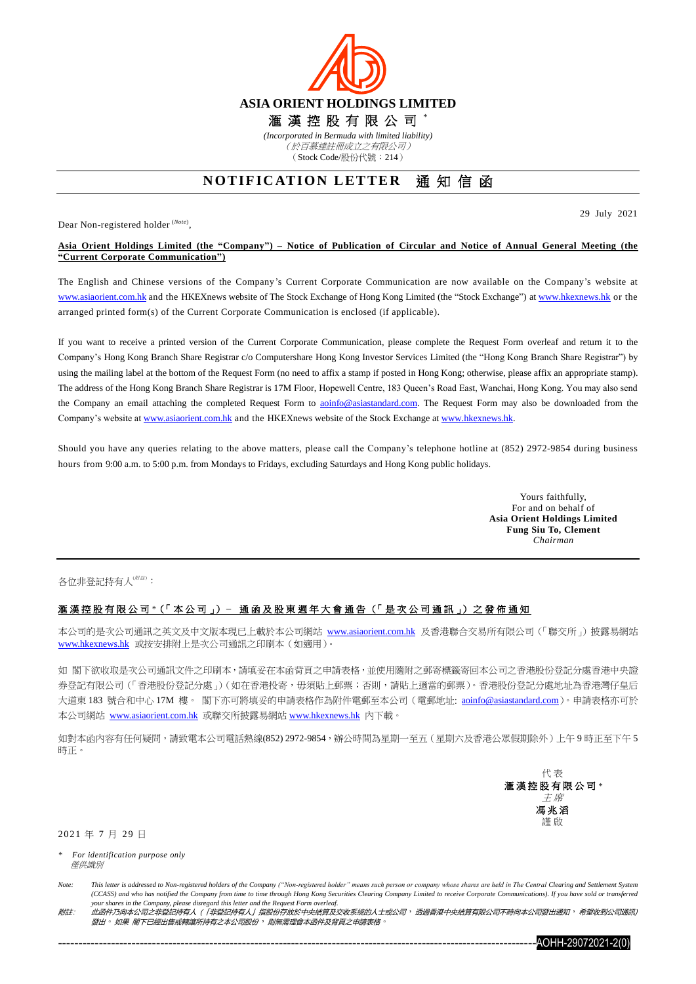

## **NOTIFICATION LETTER** 通知信函

Dear Non-registered holder (*Note*) ,

29 July 2021

## **Asia Orient Holdings Limited (the "Company") – Notice of Publication of Circular and Notice of Annual General Meeting (the "Current Corporate Communication")**

The English and Chinese versions of the Company's Current Corporate Communication are now available on the Company's website at [www.asiaorient.com.hk](http://www.asiaorient.com.hk/) and the HKEXnews website of The Stock Exchange of Hong Kong Limited (the "Stock Exchange") at [www.hkexnews.hk](http://www.hkexnews.hk/) or the arranged printed form(s) of the Current Corporate Communication is enclosed (if applicable).

If you want to receive a printed version of the Current Corporate Communication, please complete the Request Form overleaf and return it to the Company's Hong Kong Branch Share Registrar c/o Computershare Hong Kong Investor Services Limited (the "Hong Kong Branch Share Registrar") by using the mailing label at the bottom of the Request Form (no need to affix a stamp if posted in Hong Kong; otherwise, please affix an appropriate stamp). The address of the Hong Kong Branch Share Registrar is 17M Floor, Hopewell Centre, 183 Queen's Road East, Wanchai, Hong Kong. You may also send the Company an email attaching the completed Request Form to aoinfo@asiastandard.com. The Request Form may also be downloaded from the Company's website at [www.asiaorient.com.hk](http://www.asiaorient.com.hk/) and the HKEXnews website of the Stock Exchange a[t www.hkexnews.hk.](http://www.hkexnews.hk/)

Should you have any queries relating to the above matters, please call the Company's telephone hotline at (852) 2972-9854 during business hours from 9:00 a.m. to 5:00 p.m. from Mondays to Fridays, excluding Saturdays and Hong Kong public holidays.

> Yours faithfully, For and on behalf of **Asia Orient Holdings Limited Fung Siu To, Clement** *Chairman*

各位非登記持有人(##):

## 滙 漢 控 股 有 限 公 司 *\**(「 本 公 司 」) **–** 通 函 及 股 東 週 年 大 會 通 告 (「 是 次 公 司 通 訊 」) 之 發 佈 通 知

本公司的是次公司通訊之英文及中文版本現已上載於本公司網站 [www.asiaorient.com.hk](http://www.asiaorient.com.hk/) 及香港聯合交易所有限公司(「聯交所」)披露易網站 [www.hkexnews.hk](http://www.hkexnews.hk/index_c.htm) 或按安排附上是次公司通訊之印刷本(如適用)。

如 閣下欲收取是次公司通訊文件之印刷本,請填妥在本函背頁之申請表格,並使用隨附之郵寄標籤寄回本公司之香港股份登記分處香港中央證 券登記有限公司(「香港股份登記分處」)(如在香港投寄,毋須貼上郵票;否則,請貼上適當的郵票)。香港股份登記分處地址為香港灣仔皇后 大道東 183 號合和中心 17M 樓。 閣下亦可將填妥的申請表格作為附件電郵至本公司 (電郵地址: aoinfo@asiastandard.com)。申請表格亦可於 本公司網站 [www.asiaorient.com.hk](http://www.asiaorient.com.hk/) 或聯交所披露易網站 [www.hkexnews.hk](http://www.hkexnews.hk/index_c.htm) 內下載。

如對本函內容有任何疑問,請致電本公司電話熱線(852) 2972-9854,辦公時間為星期一至五(星期六及香港公眾假期除外)上午9時正至下午5 時正。

> 代 表 滙 漢 控 股 有 限 公 司 *\** 主 席 馮 兆 滔 謹 啟

2021 年 7 月 29 日

*\* For identification purpose only* 僅供識別

附註: 此函件乃向本公司之非登記持有人 (「非登記持有人」指股份存放於中央結算及交收系統的人士或公司,透過香港中央結算有限公司不時向本公司發出通知,希望收到公司通訊) 發出。如果 閣下已經出售或轉讓所持有之本公司股份, 則無需理會本函件及背頁之申請表格



*Note: This letter is addressed to Non-registered holders of the Company ("Non-registered holder" means such person or company whose shares are held in The Central Clearing and Settlement System (CCASS)* and who has notified the Company from time to time through Hong Kong Securities Clearing Company Limited to receive Corporate Communications). If you have sold or transferred *your shares in the Company, please disregard this letter and the Request Form overleaf.*